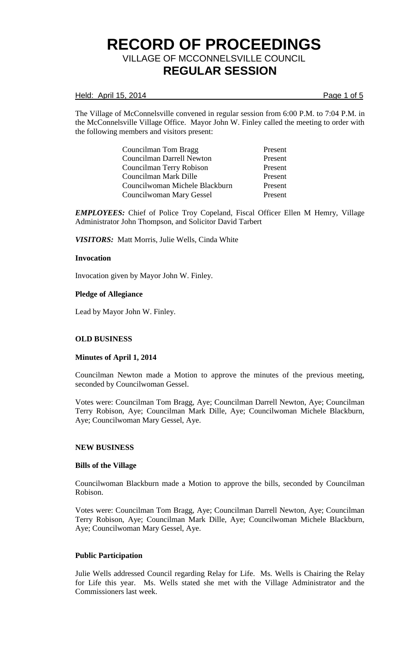#### Held: April 15, 2014 **Page 1 of 5**

The Village of McConnelsville convened in regular session from 6:00 P.M. to 7:04 P.M. in the McConnelsville Village Office. Mayor John W. Finley called the meeting to order with the following members and visitors present:

> Councilman Tom Bragg Present Councilman Darrell Newton Present Councilman Terry Robison Present Councilman Mark Dille Present Councilwoman Michele Blackburn Present Councilwoman Mary Gessel Present

*EMPLOYEES:* Chief of Police Troy Copeland, Fiscal Officer Ellen M Hemry, Village Administrator John Thompson, and Solicitor David Tarbert

*VISITORS:* Matt Morris, Julie Wells, Cinda White

### **Invocation**

Invocation given by Mayor John W. Finley.

### **Pledge of Allegiance**

Lead by Mayor John W. Finley.

# **OLD BUSINESS**

#### **Minutes of April 1, 2014**

Councilman Newton made a Motion to approve the minutes of the previous meeting, seconded by Councilwoman Gessel.

Votes were: Councilman Tom Bragg, Aye; Councilman Darrell Newton, Aye; Councilman Terry Robison, Aye; Councilman Mark Dille, Aye; Councilwoman Michele Blackburn, Aye; Councilwoman Mary Gessel, Aye.

#### **NEW BUSINESS**

#### **Bills of the Village**

Councilwoman Blackburn made a Motion to approve the bills, seconded by Councilman Robison.

Votes were: Councilman Tom Bragg, Aye; Councilman Darrell Newton, Aye; Councilman Terry Robison, Aye; Councilman Mark Dille, Aye; Councilwoman Michele Blackburn, Aye; Councilwoman Mary Gessel, Aye.

#### **Public Participation**

Julie Wells addressed Council regarding Relay for Life. Ms. Wells is Chairing the Relay for Life this year. Ms. Wells stated she met with the Village Administrator and the Commissioners last week.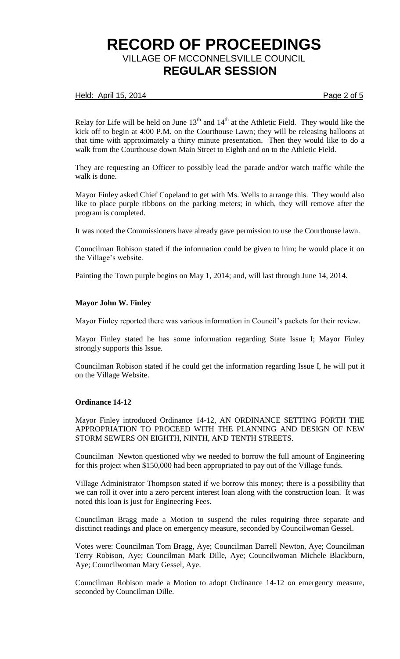### Held: April 15, 2014 **Page 2 of 5**

Relay for Life will be held on June  $13<sup>th</sup>$  and  $14<sup>th</sup>$  at the Athletic Field. They would like the kick off to begin at 4:00 P.M. on the Courthouse Lawn; they will be releasing balloons at that time with approximately a thirty minute presentation. Then they would like to do a walk from the Courthouse down Main Street to Eighth and on to the Athletic Field.

They are requesting an Officer to possibly lead the parade and/or watch traffic while the walk is done.

Mayor Finley asked Chief Copeland to get with Ms. Wells to arrange this. They would also like to place purple ribbons on the parking meters; in which, they will remove after the program is completed.

It was noted the Commissioners have already gave permission to use the Courthouse lawn.

Councilman Robison stated if the information could be given to him; he would place it on the Village's website.

Painting the Town purple begins on May 1, 2014; and, will last through June 14, 2014.

#### **Mayor John W. Finley**

Mayor Finley reported there was various information in Council's packets for their review.

Mayor Finley stated he has some information regarding State Issue I; Mayor Finley strongly supports this Issue.

Councilman Robison stated if he could get the information regarding Issue I, he will put it on the Village Website.

#### **Ordinance 14-12**

Mayor Finley introduced Ordinance 14-12, AN ORDINANCE SETTING FORTH THE APPROPRIATION TO PROCEED WITH THE PLANNING AND DESIGN OF NEW STORM SEWERS ON EIGHTH, NINTH, AND TENTH STREETS.

Councilman Newton questioned why we needed to borrow the full amount of Engineering for this project when \$150,000 had been appropriated to pay out of the Village funds.

Village Administrator Thompson stated if we borrow this money; there is a possibility that we can roll it over into a zero percent interest loan along with the construction loan. It was noted this loan is just for Engineering Fees.

Councilman Bragg made a Motion to suspend the rules requiring three separate and disctinct readings and place on emergency measure, seconded by Councilwoman Gessel.

Votes were: Councilman Tom Bragg, Aye; Councilman Darrell Newton, Aye; Councilman Terry Robison, Aye; Councilman Mark Dille, Aye; Councilwoman Michele Blackburn, Aye; Councilwoman Mary Gessel, Aye.

Councilman Robison made a Motion to adopt Ordinance 14-12 on emergency measure, seconded by Councilman Dille.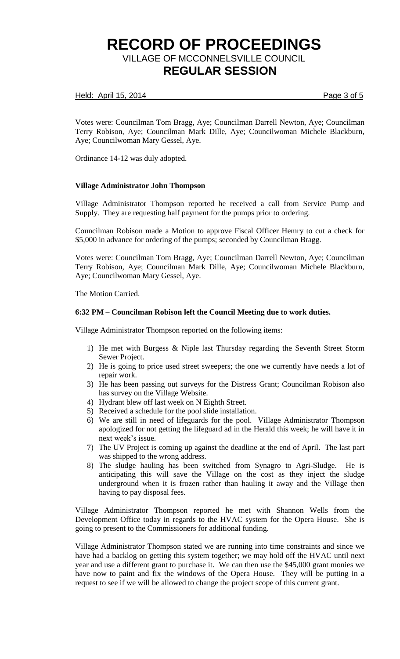### Held: April 15, 2014 **Page 3 of 5**

Votes were: Councilman Tom Bragg, Aye; Councilman Darrell Newton, Aye; Councilman Terry Robison, Aye; Councilman Mark Dille, Aye; Councilwoman Michele Blackburn, Aye; Councilwoman Mary Gessel, Aye.

Ordinance 14-12 was duly adopted.

# **Village Administrator John Thompson**

Village Administrator Thompson reported he received a call from Service Pump and Supply. They are requesting half payment for the pumps prior to ordering.

Councilman Robison made a Motion to approve Fiscal Officer Hemry to cut a check for \$5,000 in advance for ordering of the pumps; seconded by Councilman Bragg.

Votes were: Councilman Tom Bragg, Aye; Councilman Darrell Newton, Aye; Councilman Terry Robison, Aye; Councilman Mark Dille, Aye; Councilwoman Michele Blackburn, Aye; Councilwoman Mary Gessel, Aye.

The Motion Carried.

### **6:32 PM – Councilman Robison left the Council Meeting due to work duties.**

Village Administrator Thompson reported on the following items:

- 1) He met with Burgess & Niple last Thursday regarding the Seventh Street Storm Sewer Project.
- 2) He is going to price used street sweepers; the one we currently have needs a lot of repair work.
- 3) He has been passing out surveys for the Distress Grant; Councilman Robison also has survey on the Village Website.
- 4) Hydrant blew off last week on N Eighth Street.
- 5) Received a schedule for the pool slide installation.
- 6) We are still in need of lifeguards for the pool. Village Administrator Thompson apologized for not getting the lifeguard ad in the Herald this week; he will have it in next week's issue.
- 7) The UV Project is coming up against the deadline at the end of April. The last part was shipped to the wrong address.
- 8) The sludge hauling has been switched from Synagro to Agri-Sludge. He is anticipating this will save the Village on the cost as they inject the sludge underground when it is frozen rather than hauling it away and the Village then having to pay disposal fees.

Village Administrator Thompson reported he met with Shannon Wells from the Development Office today in regards to the HVAC system for the Opera House. She is going to present to the Commissioners for additional funding.

Village Administrator Thompson stated we are running into time constraints and since we have had a backlog on getting this system together; we may hold off the HVAC until next year and use a different grant to purchase it. We can then use the \$45,000 grant monies we have now to paint and fix the windows of the Opera House. They will be putting in a request to see if we will be allowed to change the project scope of this current grant.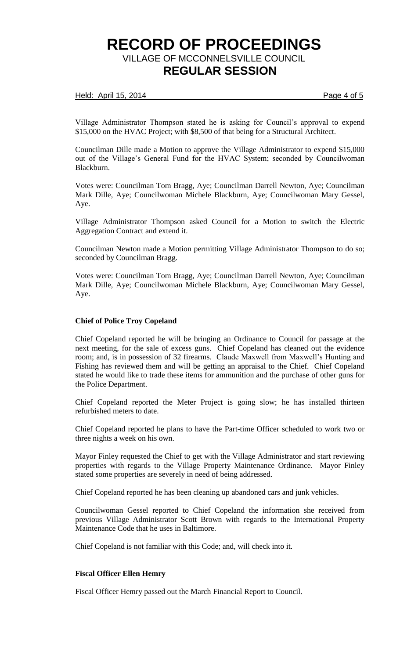#### Held: April 15, 2014 **Page 4 of 5**

Village Administrator Thompson stated he is asking for Council's approval to expend \$15,000 on the HVAC Project; with \$8,500 of that being for a Structural Architect.

Councilman Dille made a Motion to approve the Village Administrator to expend \$15,000 out of the Village's General Fund for the HVAC System; seconded by Councilwoman Blackburn.

Votes were: Councilman Tom Bragg, Aye; Councilman Darrell Newton, Aye; Councilman Mark Dille, Aye; Councilwoman Michele Blackburn, Aye; Councilwoman Mary Gessel, Aye.

Village Administrator Thompson asked Council for a Motion to switch the Electric Aggregation Contract and extend it.

Councilman Newton made a Motion permitting Village Administrator Thompson to do so; seconded by Councilman Bragg.

Votes were: Councilman Tom Bragg, Aye; Councilman Darrell Newton, Aye; Councilman Mark Dille, Aye; Councilwoman Michele Blackburn, Aye; Councilwoman Mary Gessel, Aye.

#### **Chief of Police Troy Copeland**

Chief Copeland reported he will be bringing an Ordinance to Council for passage at the next meeting, for the sale of excess guns. Chief Copeland has cleaned out the evidence room; and, is in possession of 32 firearms. Claude Maxwell from Maxwell's Hunting and Fishing has reviewed them and will be getting an appraisal to the Chief. Chief Copeland stated he would like to trade these items for ammunition and the purchase of other guns for the Police Department.

Chief Copeland reported the Meter Project is going slow; he has installed thirteen refurbished meters to date.

Chief Copeland reported he plans to have the Part-time Officer scheduled to work two or three nights a week on his own.

Mayor Finley requested the Chief to get with the Village Administrator and start reviewing properties with regards to the Village Property Maintenance Ordinance. Mayor Finley stated some properties are severely in need of being addressed.

Chief Copeland reported he has been cleaning up abandoned cars and junk vehicles.

Councilwoman Gessel reported to Chief Copeland the information she received from previous Village Administrator Scott Brown with regards to the International Property Maintenance Code that he uses in Baltimore.

Chief Copeland is not familiar with this Code; and, will check into it.

# **Fiscal Officer Ellen Hemry**

Fiscal Officer Hemry passed out the March Financial Report to Council.